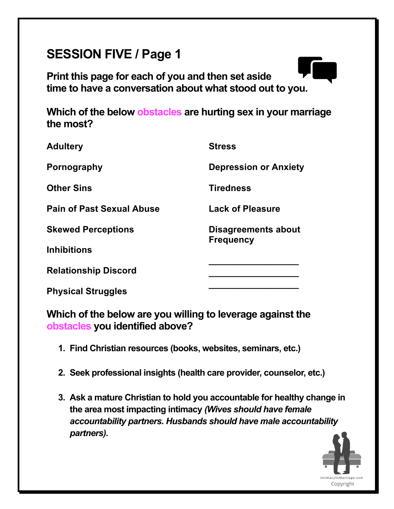# **SESSION FIVE / Page 1**

**Print this page for each of you and then set aside time to have a conversation about what stood out to you.**

**Which of the below obstacles are hurting sex in your marriage the most?**

| <b>Adultery</b>                  | <b>Stress</b>                |
|----------------------------------|------------------------------|
| Pornography                      | <b>Depression or Anxiety</b> |
| <b>Other Sins</b>                | <b>Tiredness</b>             |
| <b>Pain of Past Sexual Abuse</b> | <b>Lack of Pleasure</b>      |
| <b>Skewed Perceptions</b>        | Disagreements about          |
| <b>Inhibitions</b>               | <b>Frequency</b>             |
| <b>Relationship Discord</b>      |                              |
| <b>Physical Struggles</b>        |                              |

**Which of the below are you willing to leverage against the obstacles you identified above?**

- **1. Find Christian resources (books, websites, seminars, etc.)**
- **2. Seek professional insights (health care provider, counselor, etc.)**
- **3. Ask a mature Christian to hold you accountable for healthy change in the area most impacting intimacy** *(Wives should have female accountability partners. Husbands should have male accountability partners).*